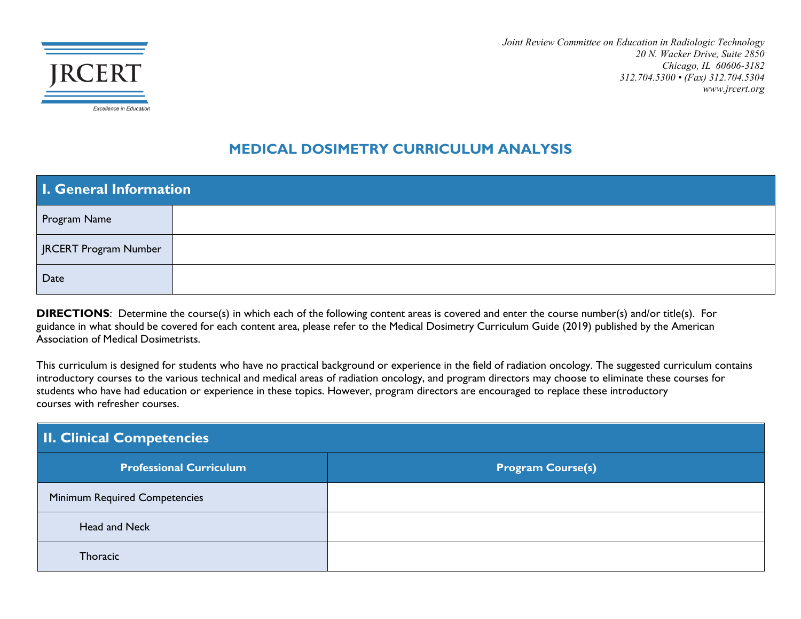

*Joint Review Committee on Education in Radiologic Technology 20 N. Wacker Drive, Suite 2850 Chicago, IL 60606-3182 312.704.5300 • (Fax) 312.704.5304 www.jrcert.org*

#### **MEDICAL DOSIMETRY CURRICULUM ANALYSIS**

| I. General Information |  |
|------------------------|--|
| Program Name           |  |
| JRCERT Program Number  |  |
| Date                   |  |

**DIRECTIONS**: Determine the course(s) in which each of the following content areas is covered and enter the course number(s) and/or title(s). For guidance in what should be covered for each content area, please refer to the Medical Dosimetry Curriculum Guide (2019) published by the American Association of Medical Dosimetrists.

This curriculum is designed for students who have no practical background or experience in the field of radiation oncology. The suggested curriculum contains introductory courses to the various technical and medical areas of radiation oncology, and program directors may choose to eliminate these courses for students who have had education or experience in these topics. However, program directors are encouraged to replace these introductory courses with refresher courses.

| <b>II. Clinical Competencies</b>     |                          |
|--------------------------------------|--------------------------|
| <b>Professional Curriculum</b>       | <b>Program Course(s)</b> |
| <b>Minimum Required Competencies</b> |                          |
| Head and Neck                        |                          |
| Thoracic                             |                          |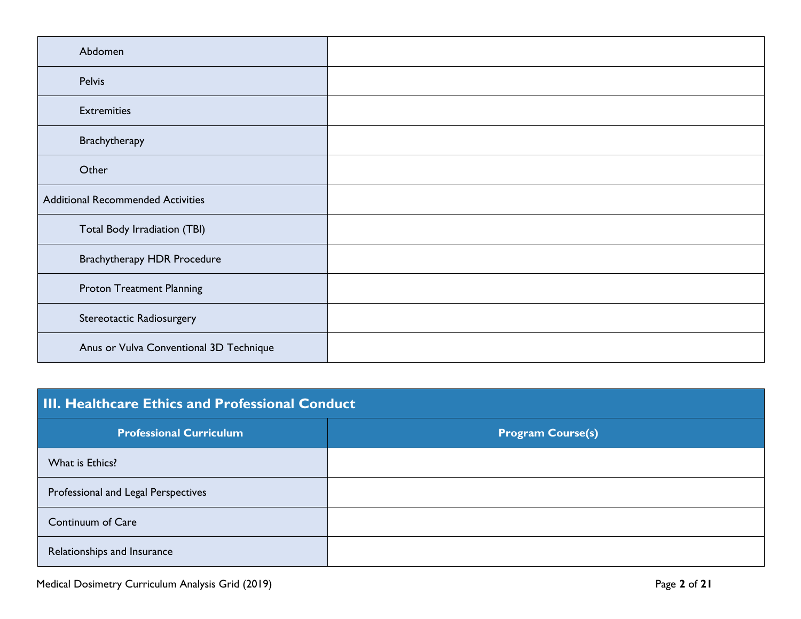| Abdomen                                  |  |
|------------------------------------------|--|
| Pelvis                                   |  |
| <b>Extremities</b>                       |  |
| Brachytherapy                            |  |
| Other                                    |  |
| <b>Additional Recommended Activities</b> |  |
| Total Body Irradiation (TBI)             |  |
| <b>Brachytherapy HDR Procedure</b>       |  |
| <b>Proton Treatment Planning</b>         |  |
| Stereotactic Radiosurgery                |  |
| Anus or Vulva Conventional 3D Technique  |  |

| <b>III. Healthcare Ethics and Professional Conduct</b> |                          |
|--------------------------------------------------------|--------------------------|
| <b>Professional Curriculum</b>                         | <b>Program Course(s)</b> |
| What is Ethics?                                        |                          |
| Professional and Legal Perspectives                    |                          |
| Continuum of Care                                      |                          |
| Relationships and Insurance                            |                          |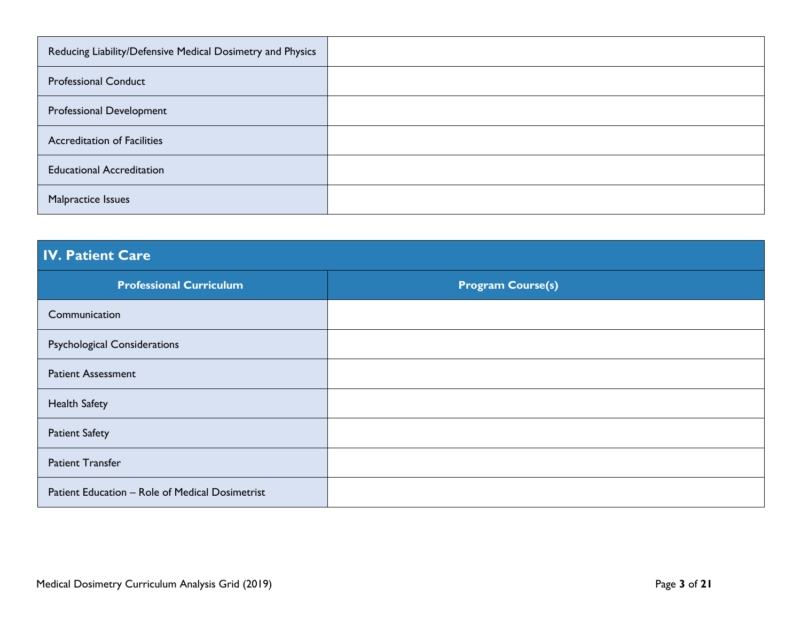| Reducing Liability/Defensive Medical Dosimetry and Physics |  |
|------------------------------------------------------------|--|
| <b>Professional Conduct</b>                                |  |
| Professional Development                                   |  |
| <b>Accreditation of Facilities</b>                         |  |
| <b>Educational Accreditation</b>                           |  |
| Malpractice Issues                                         |  |

### **IV. Patient Care**

| <b>Professional Curriculum</b>                  | <b>Program Course(s)</b> |
|-------------------------------------------------|--------------------------|
| Communication                                   |                          |
| <b>Psychological Considerations</b>             |                          |
| <b>Patient Assessment</b>                       |                          |
| <b>Health Safety</b>                            |                          |
| <b>Patient Safety</b>                           |                          |
| <b>Patient Transfer</b>                         |                          |
| Patient Education - Role of Medical Dosimetrist |                          |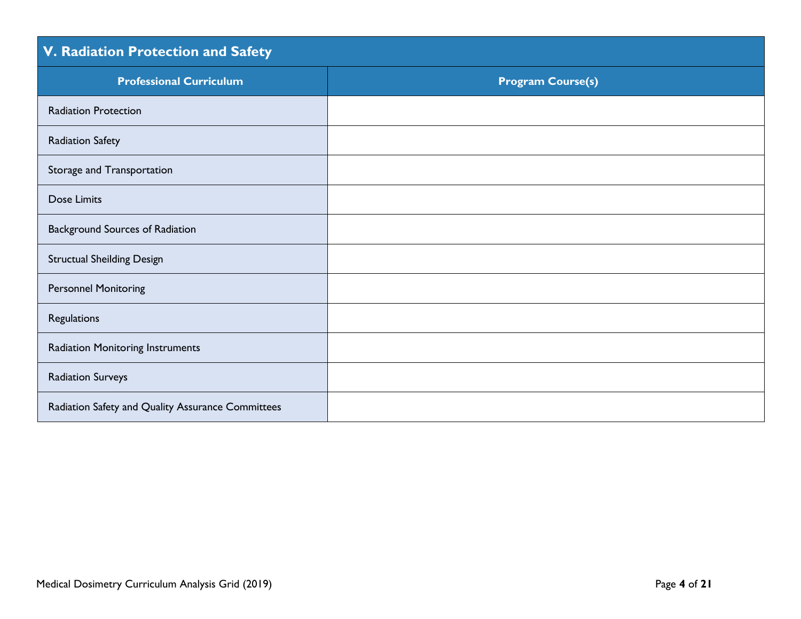# **V. Radiation Protection and Safety**

| <b>Professional Curriculum</b>                    | <b>Program Course(s)</b> |
|---------------------------------------------------|--------------------------|
| <b>Radiation Protection</b>                       |                          |
| <b>Radiation Safety</b>                           |                          |
| Storage and Transportation                        |                          |
| Dose Limits                                       |                          |
| Background Sources of Radiation                   |                          |
| <b>Structual Sheilding Design</b>                 |                          |
| <b>Personnel Monitoring</b>                       |                          |
| Regulations                                       |                          |
| <b>Radiation Monitoring Instruments</b>           |                          |
| <b>Radiation Surveys</b>                          |                          |
| Radiation Safety and Quality Assurance Committees |                          |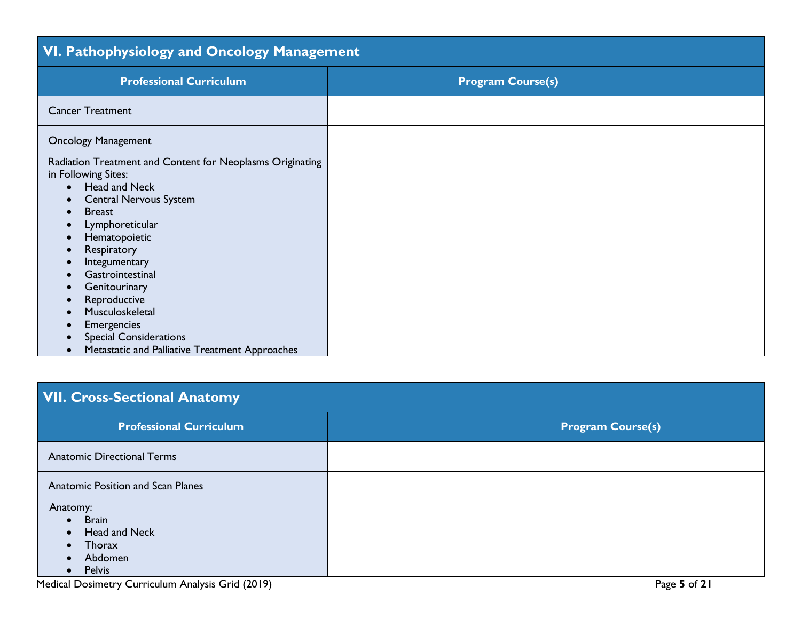| VI. Pathophysiology and Oncology Management                                                                                                                                                                                                                                                                                                                                                                                                                                     |                          |  |
|---------------------------------------------------------------------------------------------------------------------------------------------------------------------------------------------------------------------------------------------------------------------------------------------------------------------------------------------------------------------------------------------------------------------------------------------------------------------------------|--------------------------|--|
| <b>Professional Curriculum</b>                                                                                                                                                                                                                                                                                                                                                                                                                                                  | <b>Program Course(s)</b> |  |
| <b>Cancer Treatment</b>                                                                                                                                                                                                                                                                                                                                                                                                                                                         |                          |  |
| <b>Oncology Management</b>                                                                                                                                                                                                                                                                                                                                                                                                                                                      |                          |  |
| Radiation Treatment and Content for Neoplasms Originating<br>in Following Sites:<br>Head and Neck<br>$\bullet$<br><b>Central Nervous System</b><br>$\bullet$<br><b>Breast</b><br>$\bullet$<br>Lymphoreticular<br>$\bullet$<br>Hematopoietic<br>$\bullet$<br>Respiratory<br>Integumentary<br>Gastrointestinal<br>Genitourinary<br>Reproductive<br>Musculoskeletal<br>Emergencies<br><b>Special Considerations</b><br>Metastatic and Palliative Treatment Approaches<br>$\bullet$ |                          |  |

### **VII. Cross-Sectional Anatomy**

| <b>Professional Curriculum</b>                                                                                  | <b>Program Course(s)</b> |
|-----------------------------------------------------------------------------------------------------------------|--------------------------|
| <b>Anatomic Directional Terms</b>                                                                               |                          |
| <b>Anatomic Position and Scan Planes</b>                                                                        |                          |
| Anatomy:<br><b>Brain</b><br>$\bullet$<br>Head and Neck<br>$\bullet$<br>Thorax<br>$\bullet$<br>Abdomen<br>Pelvis |                          |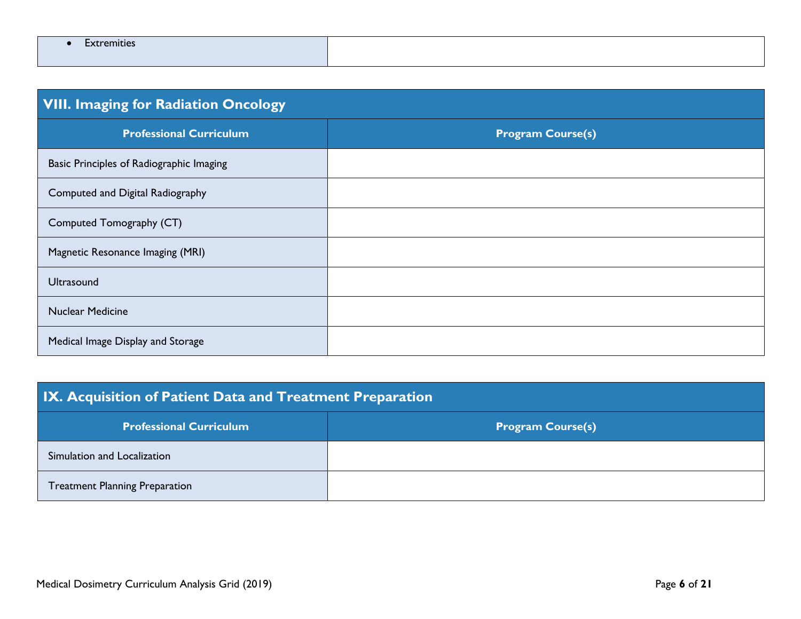| <b>VIII. Imaging for Radiation Oncology</b> |                          |
|---------------------------------------------|--------------------------|
| <b>Professional Curriculum</b>              | <b>Program Course(s)</b> |
| Basic Principles of Radiographic Imaging    |                          |
| Computed and Digital Radiography            |                          |
| Computed Tomography (CT)                    |                          |
| Magnetic Resonance Imaging (MRI)            |                          |
| <b>Ultrasound</b>                           |                          |
| <b>Nuclear Medicine</b>                     |                          |
| Medical Image Display and Storage           |                          |

| IX. Acquisition of Patient Data and Treatment Preparation |                          |  |
|-----------------------------------------------------------|--------------------------|--|
| <b>Professional Curriculum</b>                            | <b>Program Course(s)</b> |  |
| Simulation and Localization                               |                          |  |
| <b>Treatment Planning Preparation</b>                     |                          |  |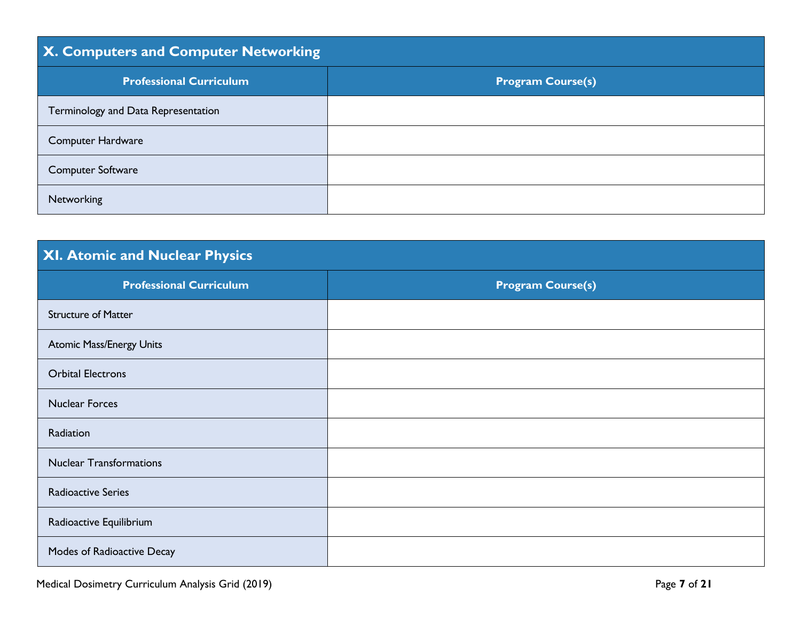| <b>X. Computers and Computer Networking</b> |                          |
|---------------------------------------------|--------------------------|
| <b>Professional Curriculum</b>              | <b>Program Course(s)</b> |
| Terminology and Data Representation         |                          |
| Computer Hardware                           |                          |
| Computer Software                           |                          |
| Networking                                  |                          |

### **XI. Atomic and Nuclear Physics**

| <b>Professional Curriculum</b>  | <b>Program Course(s)</b> |
|---------------------------------|--------------------------|
| <b>Structure of Matter</b>      |                          |
| <b>Atomic Mass/Energy Units</b> |                          |
| <b>Orbital Electrons</b>        |                          |
| <b>Nuclear Forces</b>           |                          |
| Radiation                       |                          |
| <b>Nuclear Transformations</b>  |                          |
| <b>Radioactive Series</b>       |                          |
| Radioactive Equilibrium         |                          |
| Modes of Radioactive Decay      |                          |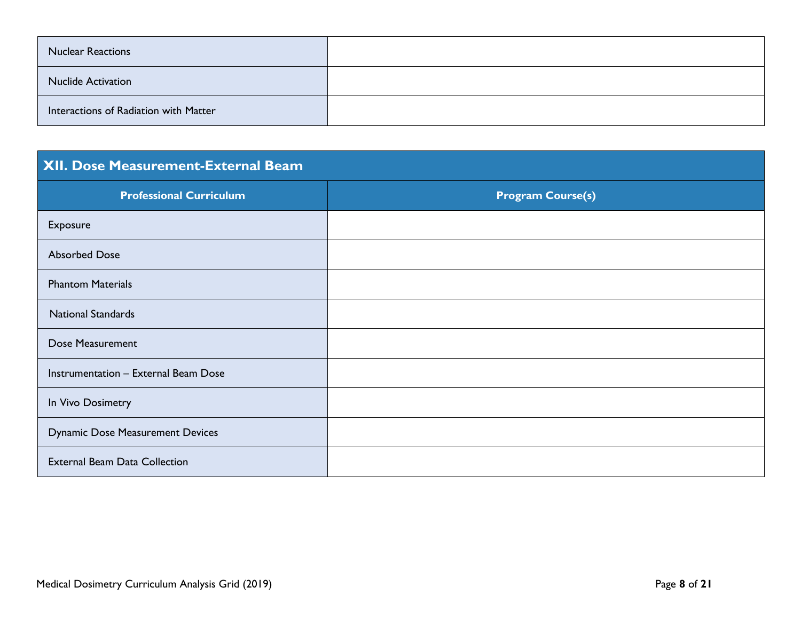| <b>Nuclear Reactions</b>              |  |
|---------------------------------------|--|
| <b>Nuclide Activation</b>             |  |
| Interactions of Radiation with Matter |  |

#### **XII. Dose Measurement-External Beam**

| <b>Professional Curriculum</b>          | <b>Program Course(s)</b> |
|-----------------------------------------|--------------------------|
| Exposure                                |                          |
| <b>Absorbed Dose</b>                    |                          |
| <b>Phantom Materials</b>                |                          |
| <b>National Standards</b>               |                          |
| Dose Measurement                        |                          |
| Instrumentation - External Beam Dose    |                          |
| In Vivo Dosimetry                       |                          |
| <b>Dynamic Dose Measurement Devices</b> |                          |
| <b>External Beam Data Collection</b>    |                          |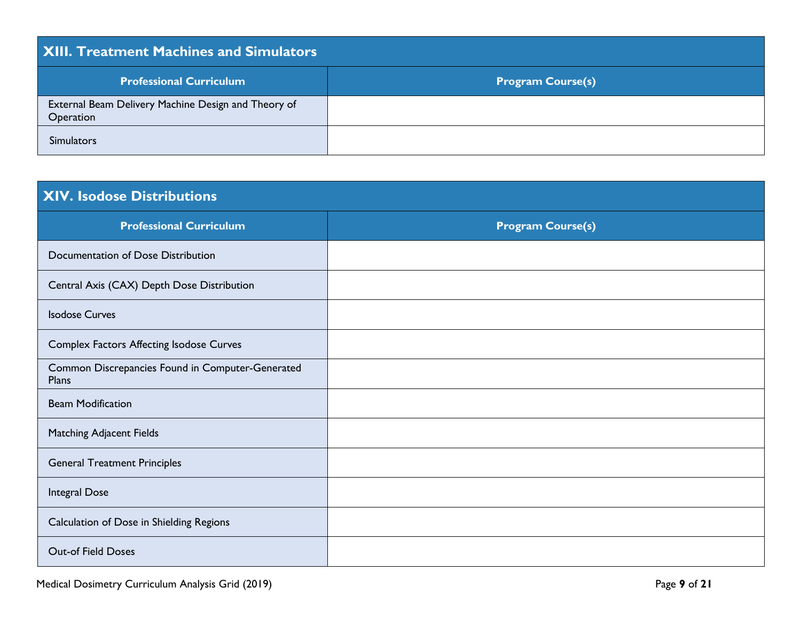| <b>XIII. Treatment Machines and Simulators</b>                   |                          |
|------------------------------------------------------------------|--------------------------|
| <b>Professional Curriculum</b>                                   | <b>Program Course(s)</b> |
| External Beam Delivery Machine Design and Theory of<br>Operation |                          |
| <b>Simulators</b>                                                |                          |

| <b>XIV. Isodose Distributions</b>                         |                          |
|-----------------------------------------------------------|--------------------------|
| <b>Professional Curriculum</b>                            | <b>Program Course(s)</b> |
| Documentation of Dose Distribution                        |                          |
| Central Axis (CAX) Depth Dose Distribution                |                          |
| <b>Isodose Curves</b>                                     |                          |
| Complex Factors Affecting Isodose Curves                  |                          |
| Common Discrepancies Found in Computer-Generated<br>Plans |                          |
| <b>Beam Modification</b>                                  |                          |
| <b>Matching Adjacent Fields</b>                           |                          |
| <b>General Treatment Principles</b>                       |                          |
| Integral Dose                                             |                          |
| Calculation of Dose in Shielding Regions                  |                          |
| <b>Out-of Field Doses</b>                                 |                          |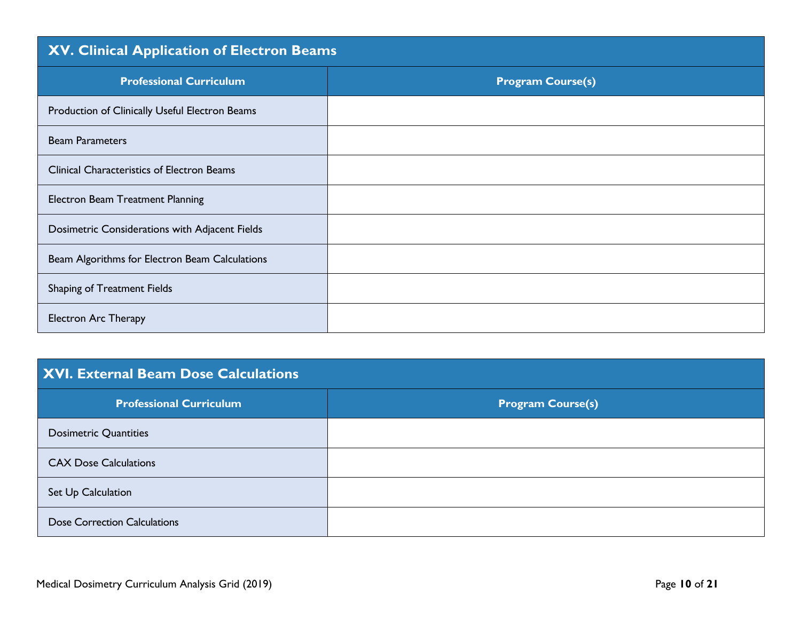#### **XV. Clinical Application of Electron Beams**

| <b>Professional Curriculum</b>                    | <b>Program Course(s)</b> |
|---------------------------------------------------|--------------------------|
| Production of Clinically Useful Electron Beams    |                          |
| <b>Beam Parameters</b>                            |                          |
| <b>Clinical Characteristics of Electron Beams</b> |                          |
| <b>Electron Beam Treatment Planning</b>           |                          |
| Dosimetric Considerations with Adjacent Fields    |                          |
| Beam Algorithms for Electron Beam Calculations    |                          |
| Shaping of Treatment Fields                       |                          |
| <b>Electron Arc Therapy</b>                       |                          |

#### **XVI. External Beam Dose Calculations**

| <b>Professional Curriculum</b>      | <b>Program Course(s)</b> |
|-------------------------------------|--------------------------|
| <b>Dosimetric Quantities</b>        |                          |
| <b>CAX Dose Calculations</b>        |                          |
| Set Up Calculation                  |                          |
| <b>Dose Correction Calculations</b> |                          |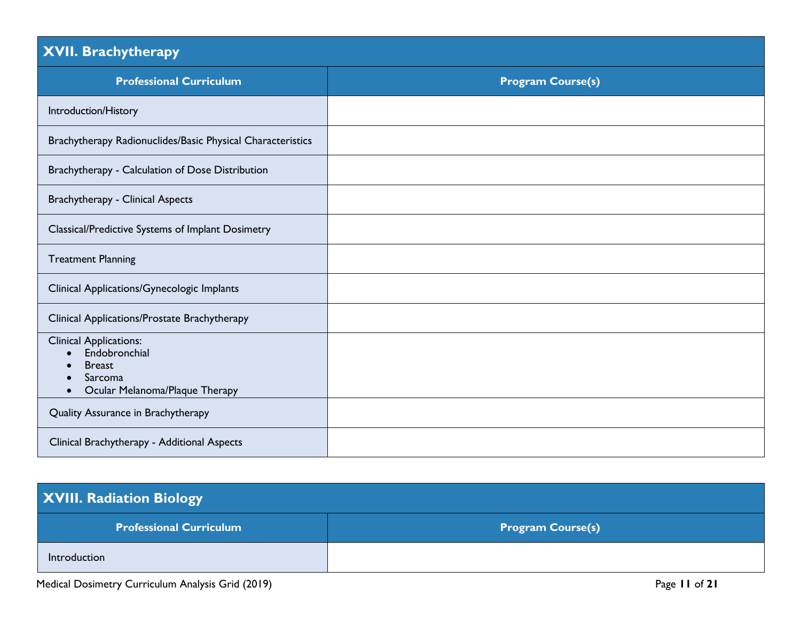#### **XVII. Brachytherapy**

| <b>Professional Curriculum</b>                                                                                            | <b>Program Course(s)</b> |
|---------------------------------------------------------------------------------------------------------------------------|--------------------------|
| Introduction/History                                                                                                      |                          |
| Brachytherapy Radionuclides/Basic Physical Characteristics                                                                |                          |
| Brachytherapy - Calculation of Dose Distribution                                                                          |                          |
| <b>Brachytherapy - Clinical Aspects</b>                                                                                   |                          |
| Classical/Predictive Systems of Implant Dosimetry                                                                         |                          |
| <b>Treatment Planning</b>                                                                                                 |                          |
| Clinical Applications/Gynecologic Implants                                                                                |                          |
| Clinical Applications/Prostate Brachytherapy                                                                              |                          |
| <b>Clinical Applications:</b><br>Endobronchial<br><b>Breast</b><br>Sarcoma<br>Ocular Melanoma/Plaque Therapy<br>$\bullet$ |                          |
| Quality Assurance in Brachytherapy                                                                                        |                          |
| Clinical Brachytherapy - Additional Aspects                                                                               |                          |

| <b>XVIII. Radiation Biology</b> |                          |
|---------------------------------|--------------------------|
| <b>Professional Curriculum</b>  | <b>Program Course(s)</b> |
| Introduction                    |                          |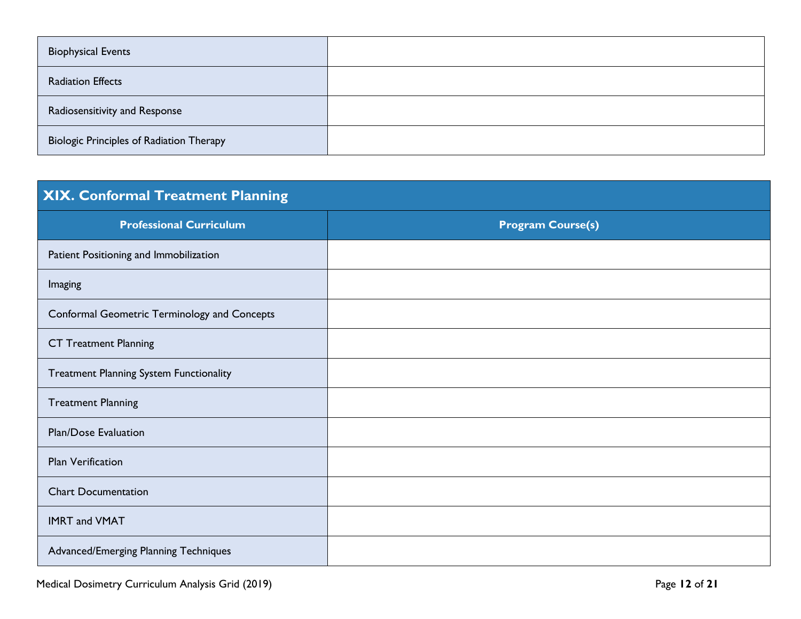| <b>Biophysical Events</b>                       |  |
|-------------------------------------------------|--|
| <b>Radiation Effects</b>                        |  |
| Radiosensitivity and Response                   |  |
| <b>Biologic Principles of Radiation Therapy</b> |  |

| <b>XIX. Conformal Treatment Planning</b>       |                          |
|------------------------------------------------|--------------------------|
| <b>Professional Curriculum</b>                 | <b>Program Course(s)</b> |
| Patient Positioning and Immobilization         |                          |
| Imaging                                        |                          |
| Conformal Geometric Terminology and Concepts   |                          |
| <b>CT Treatment Planning</b>                   |                          |
| <b>Treatment Planning System Functionality</b> |                          |
| <b>Treatment Planning</b>                      |                          |
| <b>Plan/Dose Evaluation</b>                    |                          |
| <b>Plan Verification</b>                       |                          |
| <b>Chart Documentation</b>                     |                          |
| <b>IMRT and VMAT</b>                           |                          |
| Advanced/Emerging Planning Techniques          |                          |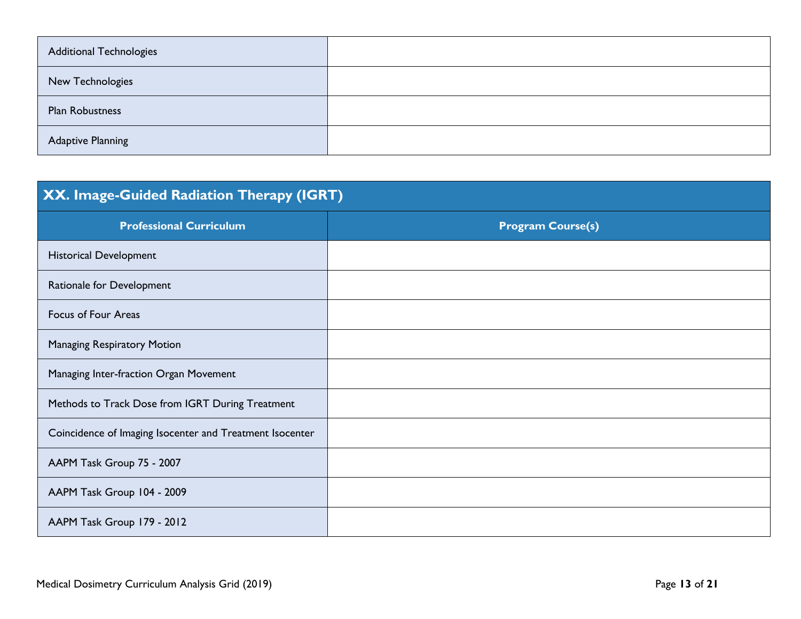| <b>Additional Technologies</b> |  |
|--------------------------------|--|
| New Technologies               |  |
| <b>Plan Robustness</b>         |  |
| <b>Adaptive Planning</b>       |  |

| XX. Image-Guided Radiation Therapy (IGRT)                |                          |
|----------------------------------------------------------|--------------------------|
| <b>Professional Curriculum</b>                           | <b>Program Course(s)</b> |
| <b>Historical Development</b>                            |                          |
| Rationale for Development                                |                          |
| Focus of Four Areas                                      |                          |
| <b>Managing Respiratory Motion</b>                       |                          |
| Managing Inter-fraction Organ Movement                   |                          |
| Methods to Track Dose from IGRT During Treatment         |                          |
| Coincidence of Imaging Isocenter and Treatment Isocenter |                          |
| AAPM Task Group 75 - 2007                                |                          |
| AAPM Task Group 104 - 2009                               |                          |
| AAPM Task Group 179 - 2012                               |                          |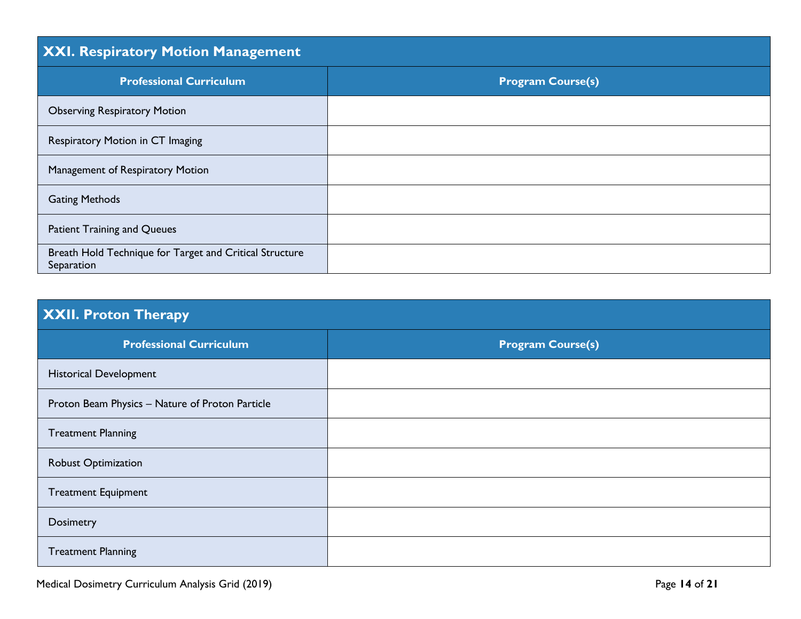### **XXI. Respiratory Motion Management**

| <b>Professional Curriculum</b>                                        | <b>Program Course(s)</b> |
|-----------------------------------------------------------------------|--------------------------|
| <b>Observing Respiratory Motion</b>                                   |                          |
| Respiratory Motion in CT Imaging                                      |                          |
| Management of Respiratory Motion                                      |                          |
| <b>Gating Methods</b>                                                 |                          |
| Patient Training and Queues                                           |                          |
| Breath Hold Technique for Target and Critical Structure<br>Separation |                          |

| XXII. Proton Therapy                            |                          |
|-------------------------------------------------|--------------------------|
| <b>Professional Curriculum</b>                  | <b>Program Course(s)</b> |
| <b>Historical Development</b>                   |                          |
| Proton Beam Physics - Nature of Proton Particle |                          |
| <b>Treatment Planning</b>                       |                          |
| <b>Robust Optimization</b>                      |                          |
| <b>Treatment Equipment</b>                      |                          |
| Dosimetry                                       |                          |
| <b>Treatment Planning</b>                       |                          |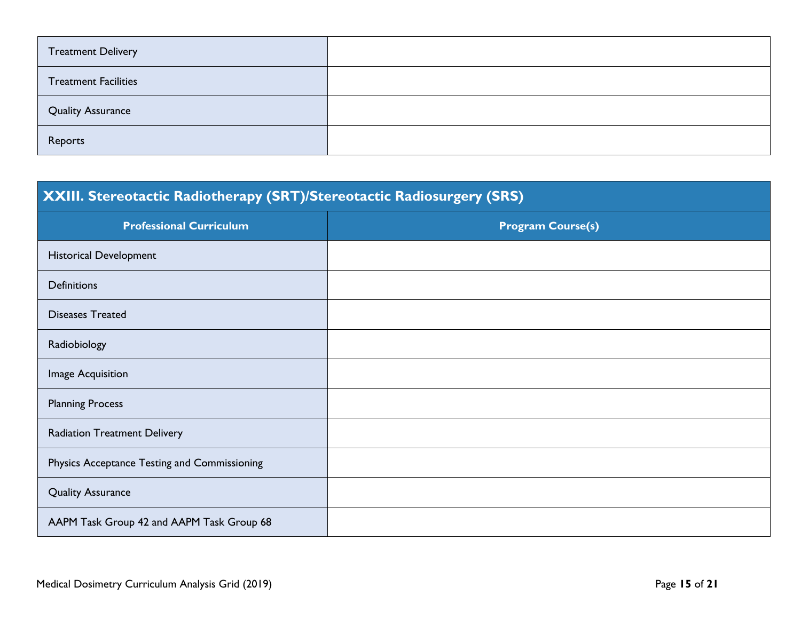| <b>Treatment Delivery</b>   |  |
|-----------------------------|--|
| <b>Treatment Facilities</b> |  |
| <b>Quality Assurance</b>    |  |
| Reports                     |  |

# **XXIII. Stereotactic Radiotherapy (SRT)/Stereotactic Radiosurgery (SRS) Professional Curriculum Program Course(s)** Historical Development **Definitions** Diseases Treated Radiobiology Image Acquisition Planning Process Radiation Treatment Delivery Physics Acceptance Testing and Commissioning Quality Assurance AAPM Task Group 42 and AAPM Task Group 68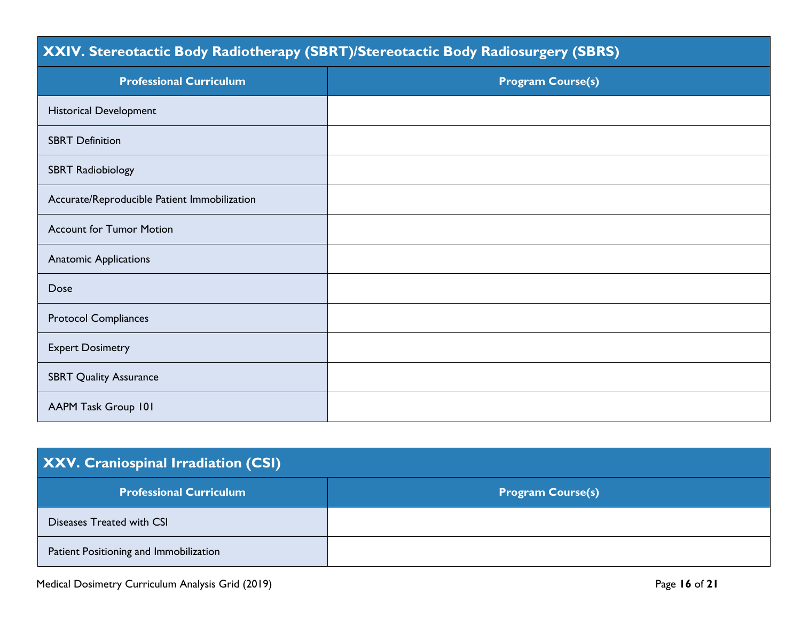#### **XXIV. Stereotactic Body Radiotherapy (SBRT)/Stereotactic Body Radiosurgery (SBRS)**

| <b>Professional Curriculum</b>               | <b>Program Course(s)</b> |
|----------------------------------------------|--------------------------|
| <b>Historical Development</b>                |                          |
| <b>SBRT Definition</b>                       |                          |
| <b>SBRT Radiobiology</b>                     |                          |
| Accurate/Reproducible Patient Immobilization |                          |
| <b>Account for Tumor Motion</b>              |                          |
| <b>Anatomic Applications</b>                 |                          |
| Dose                                         |                          |
| <b>Protocol Compliances</b>                  |                          |
| <b>Expert Dosimetry</b>                      |                          |
| <b>SBRT Quality Assurance</b>                |                          |
| AAPM Task Group 101                          |                          |

#### **XXV. Craniospinal Irradiation (CSI)**

| <b>Professional Curriculum</b>         | <b>Program Course(s)</b> |
|----------------------------------------|--------------------------|
| Diseases Treated with CSI              |                          |
| Patient Positioning and Immobilization |                          |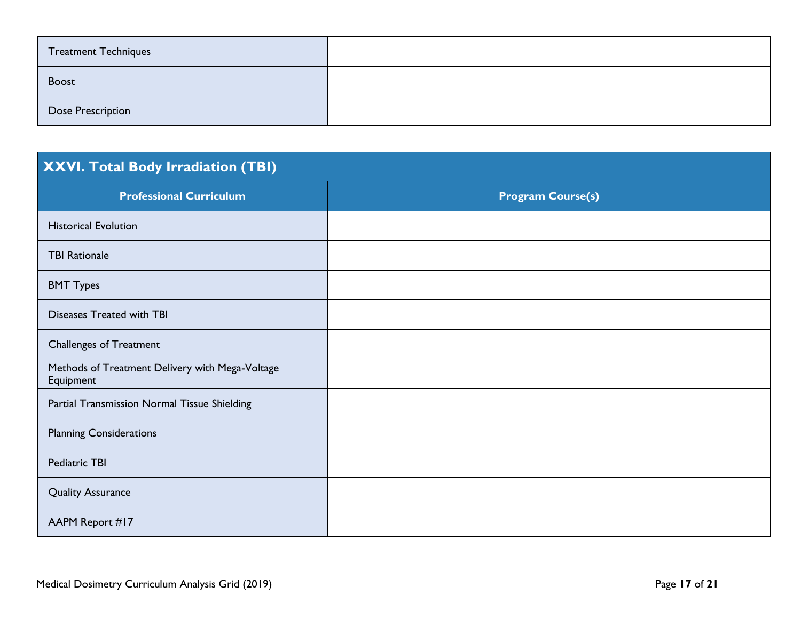| <b>Treatment Techniques</b> |  |
|-----------------------------|--|
| <b>Boost</b>                |  |
| <b>Dose Prescription</b>    |  |

## **XXVI. Total Body Irradiation (TBI)**

| <b>Professional Curriculum</b>                               | <b>Program Course(s)</b> |
|--------------------------------------------------------------|--------------------------|
| <b>Historical Evolution</b>                                  |                          |
| <b>TBI Rationale</b>                                         |                          |
| <b>BMT Types</b>                                             |                          |
| Diseases Treated with TBI                                    |                          |
| <b>Challenges of Treatment</b>                               |                          |
| Methods of Treatment Delivery with Mega-Voltage<br>Equipment |                          |
| Partial Transmission Normal Tissue Shielding                 |                          |
| <b>Planning Considerations</b>                               |                          |
| Pediatric TBI                                                |                          |
| <b>Quality Assurance</b>                                     |                          |
| AAPM Report #17                                              |                          |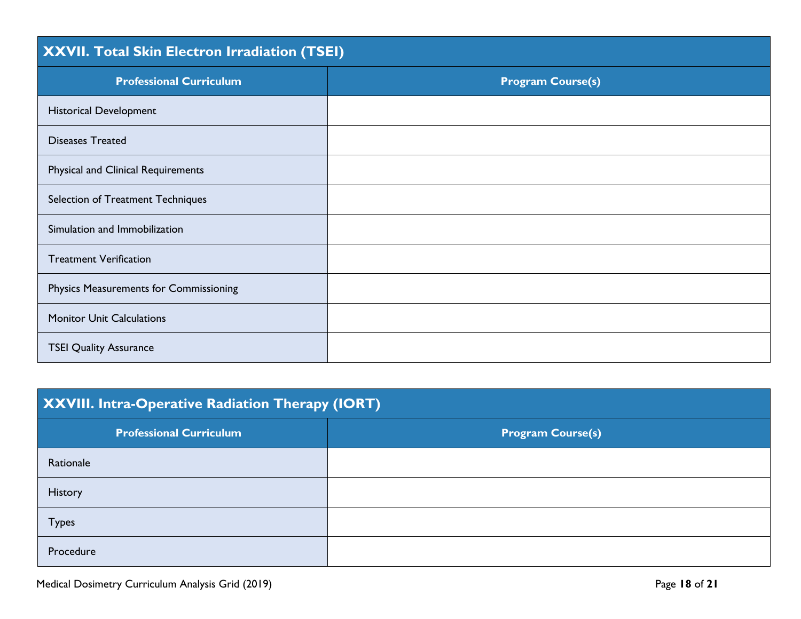| XXVII. Total Skin Electron Irradiation (TSEI) |                          |
|-----------------------------------------------|--------------------------|
| <b>Professional Curriculum</b>                | <b>Program Course(s)</b> |
| <b>Historical Development</b>                 |                          |
| <b>Diseases Treated</b>                       |                          |
| Physical and Clinical Requirements            |                          |
| Selection of Treatment Techniques             |                          |
| Simulation and Immobilization                 |                          |
| <b>Treatment Verification</b>                 |                          |
| Physics Measurements for Commissioning        |                          |
| <b>Monitor Unit Calculations</b>              |                          |
| <b>TSEI Quality Assurance</b>                 |                          |

| <b>XXVIII. Intra-Operative Radiation Therapy (IORT)</b> |                          |
|---------------------------------------------------------|--------------------------|
| <b>Professional Curriculum</b>                          | <b>Program Course(s)</b> |
| Rationale                                               |                          |
| History                                                 |                          |
| <b>Types</b>                                            |                          |
| Procedure                                               |                          |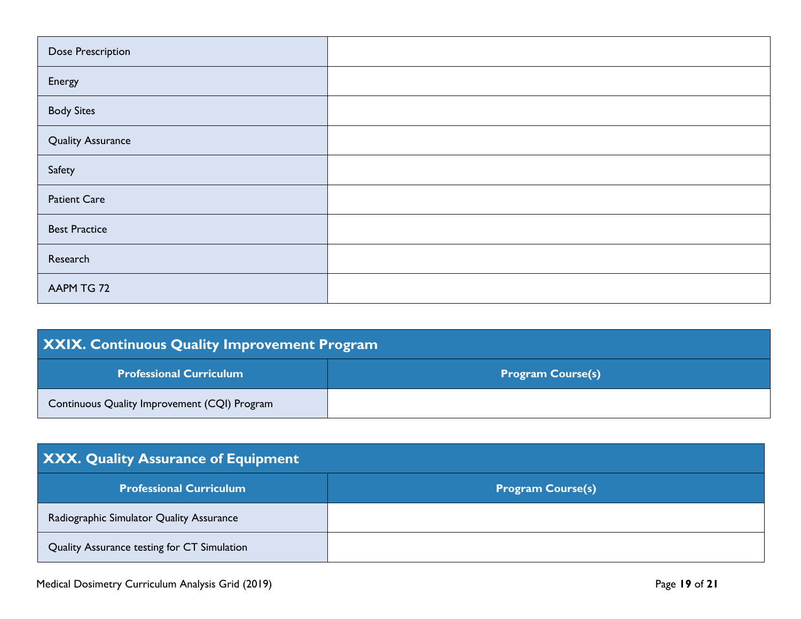| Dose Prescription        |  |
|--------------------------|--|
| Energy                   |  |
| <b>Body Sites</b>        |  |
| <b>Quality Assurance</b> |  |
| Safety                   |  |
| <b>Patient Care</b>      |  |
| <b>Best Practice</b>     |  |
| Research                 |  |
| AAPM TG 72               |  |

| <b>XXIX. Continuous Quality Improvement Program</b> |                          |
|-----------------------------------------------------|--------------------------|
| <b>Professional Curriculum</b>                      | <b>Program Course(s)</b> |
| Continuous Quality Improvement (CQI) Program        |                          |

| XXX. Quality Assurance of Equipment         |                          |  |
|---------------------------------------------|--------------------------|--|
| <b>Professional Curriculum</b>              | <b>Program Course(s)</b> |  |
| Radiographic Simulator Quality Assurance    |                          |  |
| Quality Assurance testing for CT Simulation |                          |  |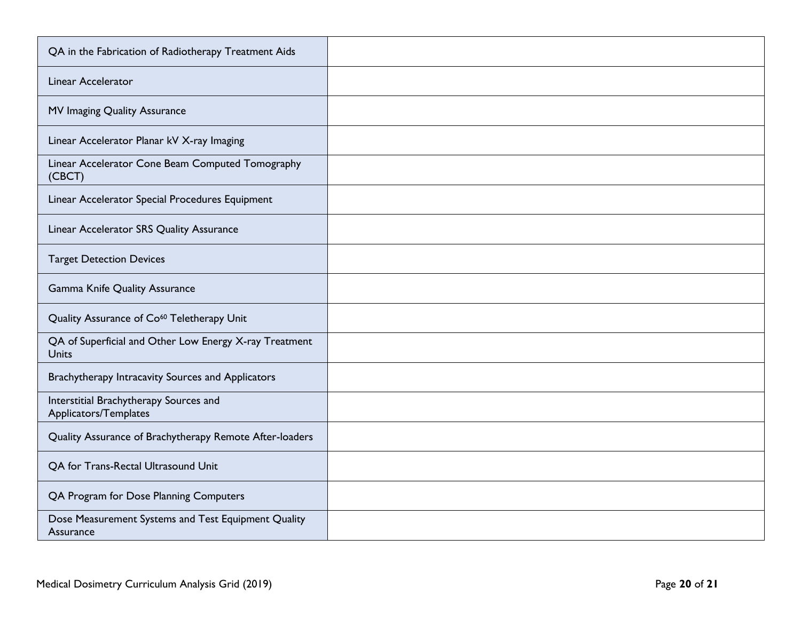| QA in the Fabrication of Radiotherapy Treatment Aids                   |  |
|------------------------------------------------------------------------|--|
| Linear Accelerator                                                     |  |
| MV Imaging Quality Assurance                                           |  |
| Linear Accelerator Planar kV X-ray Imaging                             |  |
| Linear Accelerator Cone Beam Computed Tomography<br>(CBCT)             |  |
| Linear Accelerator Special Procedures Equipment                        |  |
| Linear Accelerator SRS Quality Assurance                               |  |
| <b>Target Detection Devices</b>                                        |  |
| Gamma Knife Quality Assurance                                          |  |
| Quality Assurance of Co <sup>60</sup> Teletherapy Unit                 |  |
| QA of Superficial and Other Low Energy X-ray Treatment<br><b>Units</b> |  |
| Brachytherapy Intracavity Sources and Applicators                      |  |
| Interstitial Brachytherapy Sources and<br>Applicators/Templates        |  |
| Quality Assurance of Brachytherapy Remote After-loaders                |  |
| OA for Trans-Rectal Ultrasound Unit                                    |  |
| QA Program for Dose Planning Computers                                 |  |
| Dose Measurement Systems and Test Equipment Quality<br>Assurance       |  |